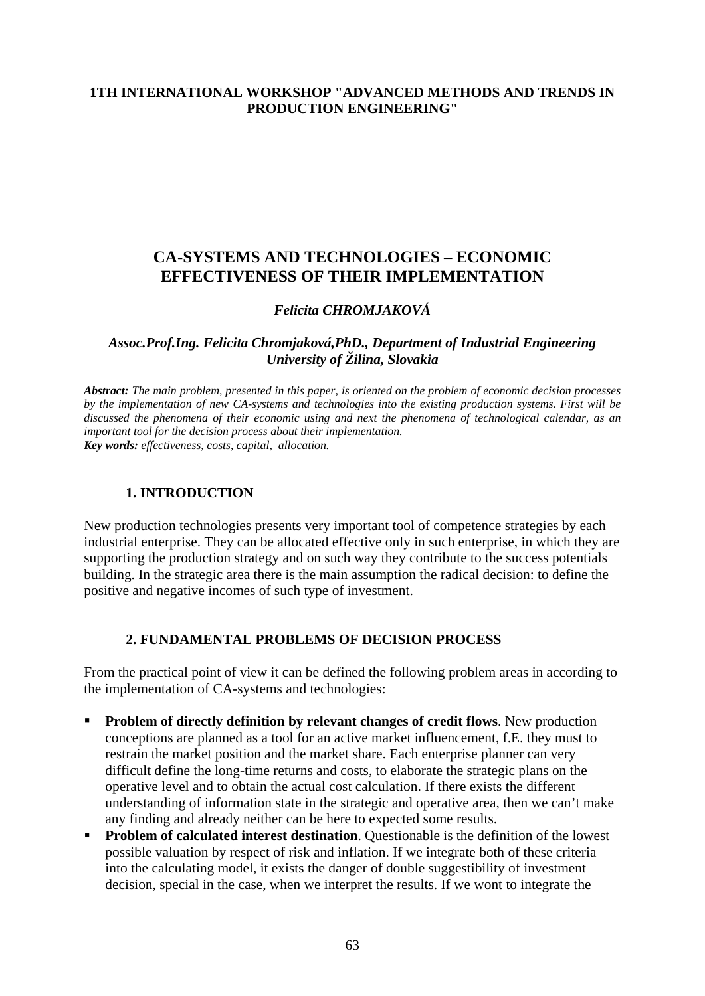### **1TH INTERNATIONAL WORKSHOP "ADVANCED METHODS AND TRENDS IN PRODUCTION ENGINEERING"**

# **CA-SYSTEMS AND TECHNOLOGIES – ECONOMIC EFFECTIVENESS OF THEIR IMPLEMENTATION**

## *Felicita CHROMJAKOVÁ*

### *Assoc.Prof.Ing. Felicita Chromjaková,PhD., Department of Industrial Engineering University of Žilina, Slovakia*

*Abstract: The main problem, presented in this paper, is oriented on the problem of economic decision processes by the implementation of new CA-systems and technologies into the existing production systems. First will be discussed the phenomena of their economic using and next the phenomena of technological calendar, as an important tool for the decision process about their implementation. Key words: effectiveness, costs, capital, allocation.*

### **1. INTRODUCTION**

New production technologies presents very important tool of competence strategies by each industrial enterprise. They can be allocated effective only in such enterprise, in which they are supporting the production strategy and on such way they contribute to the success potentials building. In the strategic area there is the main assumption the radical decision: to define the positive and negative incomes of such type of investment.

#### **2. FUNDAMENTAL PROBLEMS OF DECISION PROCESS**

From the practical point of view it can be defined the following problem areas in according to the implementation of CA-systems and technologies:

- **Problem of directly definition by relevant changes of credit flows**. New production conceptions are planned as a tool for an active market influencement, f.E. they must to restrain the market position and the market share. Each enterprise planner can very difficult define the long-time returns and costs, to elaborate the strategic plans on the operative level and to obtain the actual cost calculation. If there exists the different understanding of information state in the strategic and operative area, then we can't make any finding and already neither can be here to expected some results.
- **Problem of calculated interest destination**. Questionable is the definition of the lowest possible valuation by respect of risk and inflation. If we integrate both of these criteria into the calculating model, it exists the danger of double suggestibility of investment decision, special in the case, when we interpret the results. If we wont to integrate the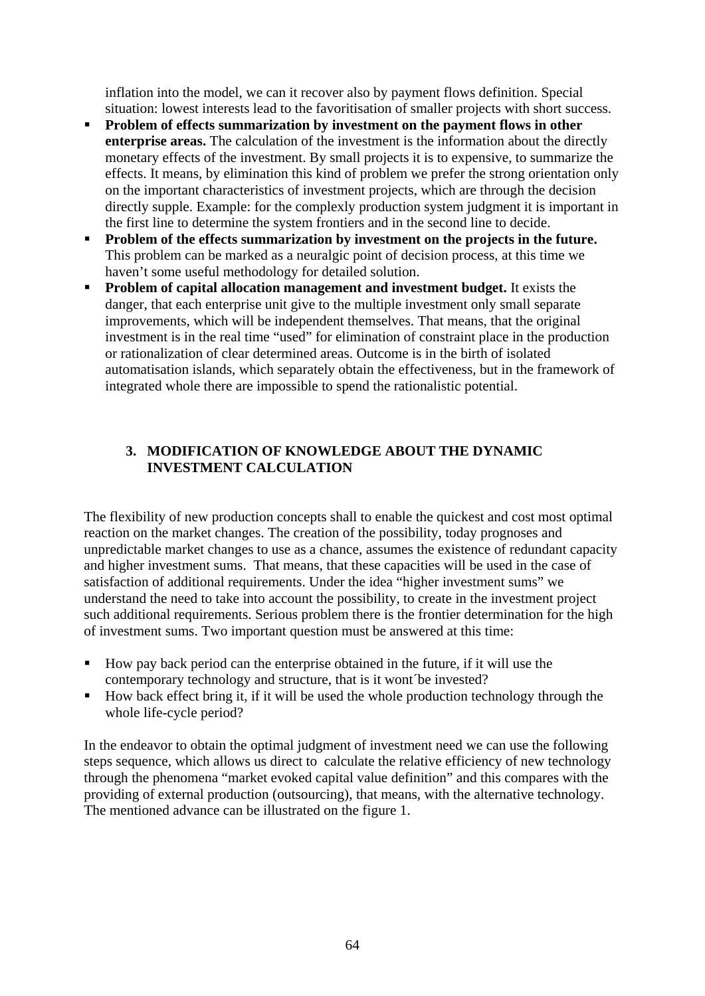inflation into the model, we can it recover also by payment flows definition. Special situation: lowest interests lead to the favoritisation of smaller projects with short success.

- **Problem of effects summarization by investment on the payment flows in other enterprise areas.** The calculation of the investment is the information about the directly monetary effects of the investment. By small projects it is to expensive, to summarize the effects. It means, by elimination this kind of problem we prefer the strong orientation only on the important characteristics of investment projects, which are through the decision directly supple. Example: for the complexly production system judgment it is important in the first line to determine the system frontiers and in the second line to decide.
- **Problem of the effects summarization by investment on the projects in the future.** This problem can be marked as a neuralgic point of decision process, at this time we haven't some useful methodology for detailed solution.
- **Problem of capital allocation management and investment budget.** It exists the danger, that each enterprise unit give to the multiple investment only small separate improvements, which will be independent themselves. That means, that the original investment is in the real time "used" for elimination of constraint place in the production or rationalization of clear determined areas. Outcome is in the birth of isolated automatisation islands, which separately obtain the effectiveness, but in the framework of integrated whole there are impossible to spend the rationalistic potential.

## **3. MODIFICATION OF KNOWLEDGE ABOUT THE DYNAMIC INVESTMENT CALCULATION**

The flexibility of new production concepts shall to enable the quickest and cost most optimal reaction on the market changes. The creation of the possibility, today prognoses and unpredictable market changes to use as a chance, assumes the existence of redundant capacity and higher investment sums. That means, that these capacities will be used in the case of satisfaction of additional requirements. Under the idea "higher investment sums" we understand the need to take into account the possibility, to create in the investment project such additional requirements. Serious problem there is the frontier determination for the high of investment sums. Two important question must be answered at this time:

- How pay back period can the enterprise obtained in the future, if it will use the contemporary technology and structure, that is it wont´be invested?
- How back effect bring it, if it will be used the whole production technology through the whole life-cycle period?

In the endeavor to obtain the optimal judgment of investment need we can use the following steps sequence, which allows us direct to calculate the relative efficiency of new technology through the phenomena "market evoked capital value definition" and this compares with the providing of external production (outsourcing), that means, with the alternative technology. The mentioned advance can be illustrated on the figure 1.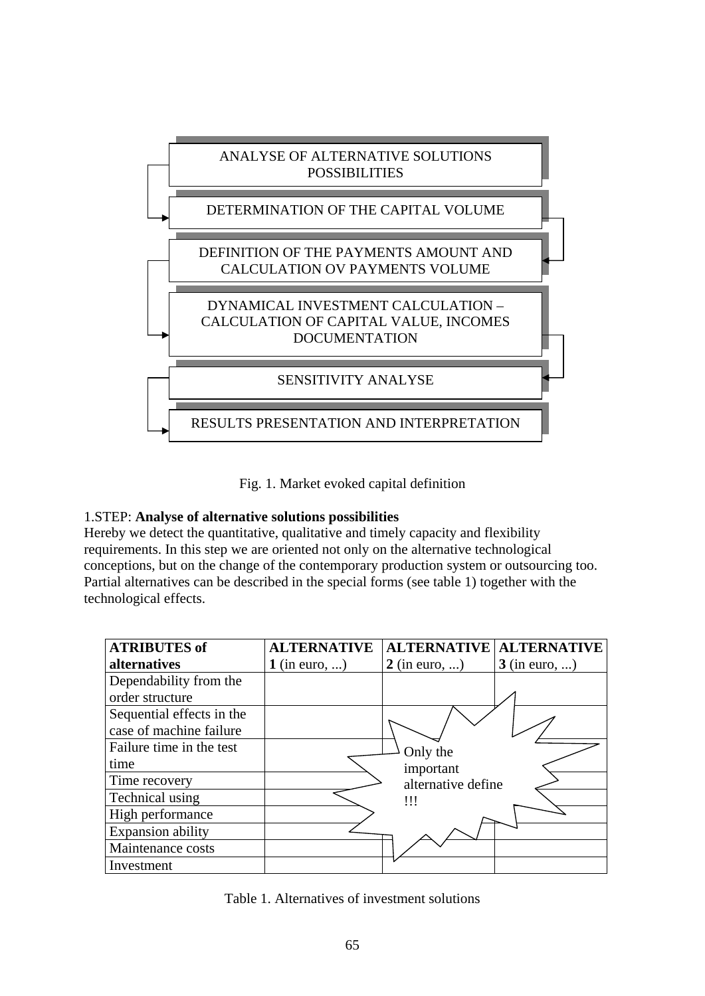

Fig. 1. Market evoked capital definition

## 1.STEP: **Analyse of alternative solutions possibilities**

Hereby we detect the quantitative, qualitative and timely capacity and flexibility requirements. In this step we are oriented not only on the alternative technological conceptions, but on the change of the contemporary production system or outsourcing too. Partial alternatives can be described in the special forms (see table 1) together with the technological effects.

| <b>ATRIBUTES of</b>       | <b>ALTERNATIVE</b> | <b>ALTERNATIVE</b> | <b>ALTERNATIVE</b> |
|---------------------------|--------------------|--------------------|--------------------|
| alternatives              | $1$ (in euro, )    | $2$ (in euro, )    | $3$ (in euro, )    |
| Dependability from the    |                    |                    |                    |
| order structure           |                    |                    |                    |
| Sequential effects in the |                    |                    |                    |
| case of machine failure   |                    |                    |                    |
| Failure time in the test  |                    | Only the           |                    |
| time                      |                    | important          |                    |
| Time recovery             |                    | alternative define |                    |
| Technical using           |                    | !!!                |                    |
| High performance          |                    |                    |                    |
| <b>Expansion ability</b>  |                    |                    |                    |
| Maintenance costs         |                    |                    |                    |
| Investment                |                    |                    |                    |

Table 1. Alternatives of investment solutions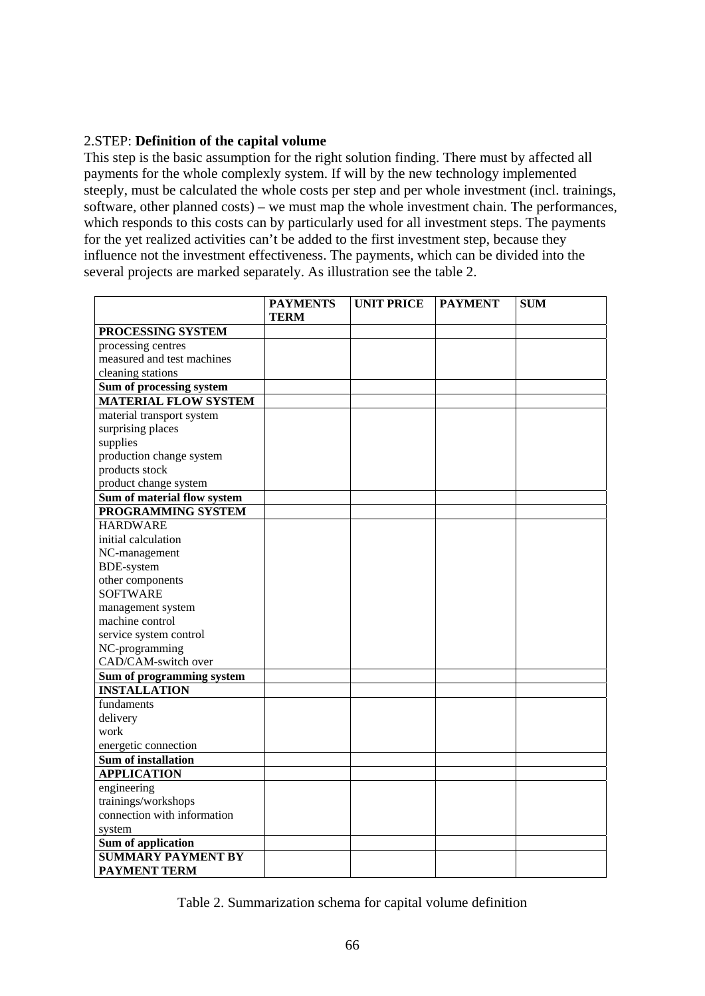#### 2.STEP: **Definition of the capital volume**

This step is the basic assumption for the right solution finding. There must by affected all payments for the whole complexly system. If will by the new technology implemented steeply, must be calculated the whole costs per step and per whole investment (incl. trainings, software, other planned costs) – we must map the whole investment chain. The performances, which responds to this costs can by particularly used for all investment steps. The payments for the yet realized activities can't be added to the first investment step, because they influence not the investment effectiveness. The payments, which can be divided into the several projects are marked separately. As illustration see the table 2.

|                             | <b>PAYMENTS</b><br><b>TERM</b> | <b>UNIT PRICE</b> | <b>PAYMENT</b> | <b>SUM</b> |
|-----------------------------|--------------------------------|-------------------|----------------|------------|
| PROCESSING SYSTEM           |                                |                   |                |            |
| processing centres          |                                |                   |                |            |
| measured and test machines  |                                |                   |                |            |
| cleaning stations           |                                |                   |                |            |
| Sum of processing system    |                                |                   |                |            |
| <b>MATERIAL FLOW SYSTEM</b> |                                |                   |                |            |
| material transport system   |                                |                   |                |            |
| surprising places           |                                |                   |                |            |
| supplies                    |                                |                   |                |            |
| production change system    |                                |                   |                |            |
| products stock              |                                |                   |                |            |
| product change system       |                                |                   |                |            |
| Sum of material flow system |                                |                   |                |            |
| PROGRAMMING SYSTEM          |                                |                   |                |            |
| <b>HARDWARE</b>             |                                |                   |                |            |
| initial calculation         |                                |                   |                |            |
| NC-management               |                                |                   |                |            |
| <b>BDE-system</b>           |                                |                   |                |            |
| other components            |                                |                   |                |            |
| <b>SOFTWARE</b>             |                                |                   |                |            |
| management system           |                                |                   |                |            |
| machine control             |                                |                   |                |            |
| service system control      |                                |                   |                |            |
| NC-programming              |                                |                   |                |            |
| CAD/CAM-switch over         |                                |                   |                |            |
| Sum of programming system   |                                |                   |                |            |
| <b>INSTALLATION</b>         |                                |                   |                |            |
| fundaments                  |                                |                   |                |            |
| delivery                    |                                |                   |                |            |
| work                        |                                |                   |                |            |
| energetic connection        |                                |                   |                |            |
| <b>Sum of installation</b>  |                                |                   |                |            |
| <b>APPLICATION</b>          |                                |                   |                |            |
| engineering                 |                                |                   |                |            |
| trainings/workshops         |                                |                   |                |            |
| connection with information |                                |                   |                |            |
| system                      |                                |                   |                |            |
| Sum of application          |                                |                   |                |            |
| <b>SUMMARY PAYMENT BY</b>   |                                |                   |                |            |
| <b>PAYMENT TERM</b>         |                                |                   |                |            |

Table 2. Summarization schema for capital volume definition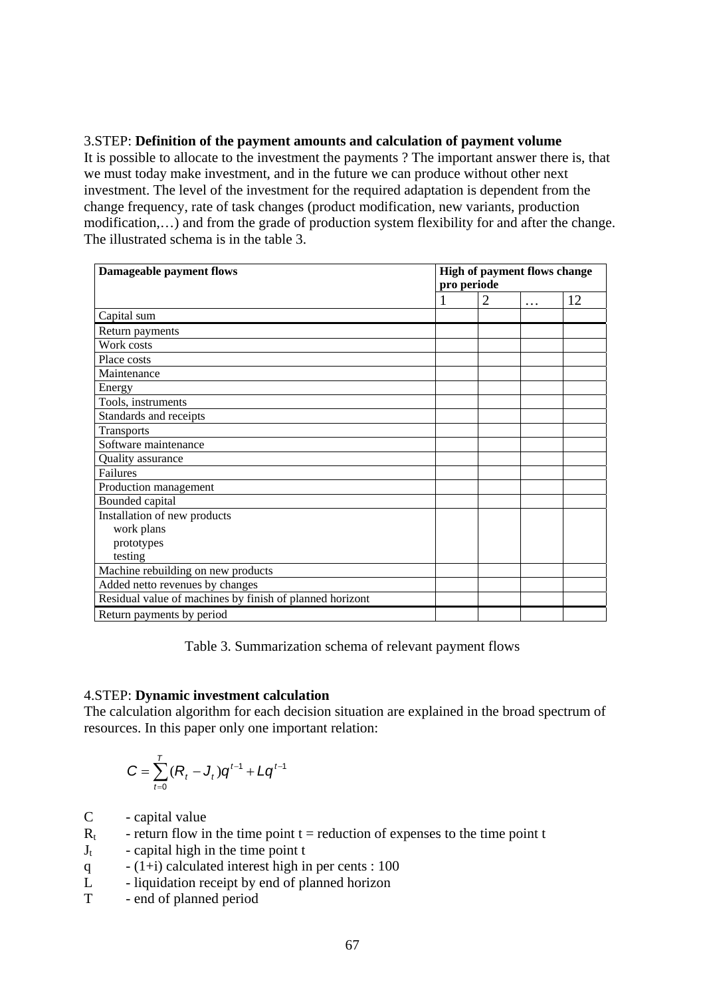#### 3.STEP: **Definition of the payment amounts and calculation of payment volume**

It is possible to allocate to the investment the payments ? The important answer there is, that we must today make investment, and in the future we can produce without other next investment. The level of the investment for the required adaptation is dependent from the change frequency, rate of task changes (product modification, new variants, production modification,…) and from the grade of production system flexibility for and after the change. The illustrated schema is in the table 3.

| Damageable payment flows                                 | <b>High of payment flows change</b> |                |   |    |
|----------------------------------------------------------|-------------------------------------|----------------|---|----|
|                                                          | pro periode                         |                |   |    |
|                                                          |                                     | $\overline{2}$ | . | 12 |
| Capital sum                                              |                                     |                |   |    |
| Return payments                                          |                                     |                |   |    |
| Work costs                                               |                                     |                |   |    |
| Place costs                                              |                                     |                |   |    |
| Maintenance                                              |                                     |                |   |    |
| Energy                                                   |                                     |                |   |    |
| Tools, instruments                                       |                                     |                |   |    |
| Standards and receipts                                   |                                     |                |   |    |
| Transports                                               |                                     |                |   |    |
| Software maintenance                                     |                                     |                |   |    |
| Quality assurance                                        |                                     |                |   |    |
| Failures                                                 |                                     |                |   |    |
| Production management                                    |                                     |                |   |    |
| Bounded capital                                          |                                     |                |   |    |
| Installation of new products                             |                                     |                |   |    |
| work plans                                               |                                     |                |   |    |
| prototypes                                               |                                     |                |   |    |
| testing                                                  |                                     |                |   |    |
| Machine rebuilding on new products                       |                                     |                |   |    |
| Added netto revenues by changes                          |                                     |                |   |    |
| Residual value of machines by finish of planned horizont |                                     |                |   |    |
| Return payments by period                                |                                     |                |   |    |

Table 3. Summarization schema of relevant payment flows

## 4.STEP: **Dynamic investment calculation**

The calculation algorithm for each decision situation are explained in the broad spectrum of resources. In this paper only one important relation:

$$
C = \sum_{t=0}^{T} (R_t - J_t) q^{t-1} + L q^{t-1}
$$

- C capital value
- $R_t$  return flow in the time point t = reduction of expenses to the time point t
- $J_t$  capital high in the time point t
- $q = (1+i)$  calculated interest high in per cents : 100
- L liquidation receipt by end of planned horizon
- T end of planned period